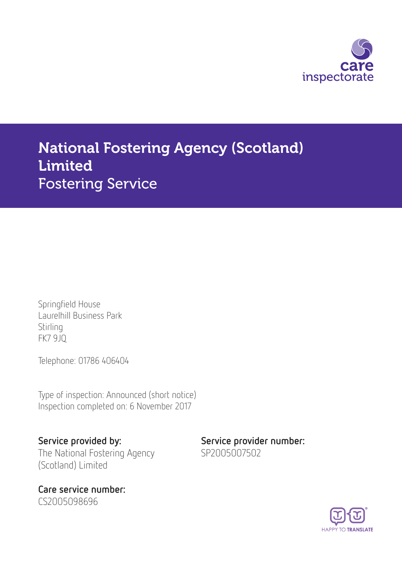

# National Fostering Agency (Scotland) Limited Fostering Service

Springfield House Laurelhill Business Park Stirling FK7 9JQ

Telephone: 01786 406404

Type of inspection: Announced (short notice) Inspection completed on: 6 November 2017

Service provided by: Service provider number: The National Fostering Agency (Scotland) Limited

Care service number: CS2005098696

SP2005007502

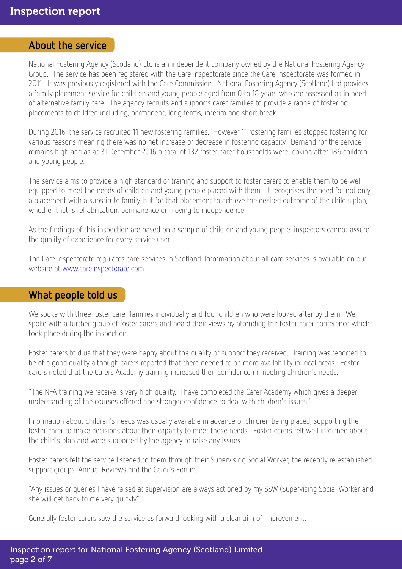#### About the service

National Fostering Agency (Scotland) Ltd is an independent company owned by the National Fostering Agency Group. The service has been registered with the Care Inspectorate since the Care Inspectorate was formed in 2011. It was previously registered with the Care Commission. National Fostering Agency (Scotland) Ltd provides a family placement service for children and young people aged from 0 to 18 years who are assessed as in need of alternative family care. The agency recruits and supports carer families to provide a range of fostering placements to children including, permanent, long terms, interim and short break.

During 2016, the service recruited 11 new fostering families. However 11 fostering families stopped fostering for various reasons meaning there was no net increase or decrease in fostering capacity. Demand for the service remains high and as at 31 December 2016 a total of 132 foster carer households were looking after 186 children and young people.

The service aims to provide a high standard of training and support to foster carers to enable them to be well equipped to meet the needs of children and young people placed with them. It recognises the need for not only a placement with a substitute family, but for that placement to achieve the desired outcome of the child's plan, whether that is rehabilitation, permanence or moving to independence.

As the findings of this inspection are based on a sample of children and young people, inspectors cannot assure the quality of experience for every service user.

The Care Inspectorate regulates care services in Scotland. Information about all care services is available on our website at [www.careinspectorate.com](http://www.careinspectorate.com)

#### What people told us

We spoke with three foster carer families individually and four children who were looked after by them. We spoke with a further group of foster carers and heard their views by attending the foster carer conference which took place during the inspection.

Foster carers told us that they were happy about the quality of support they received. Training was reported to be of a good quality although carers reported that there needed to be more availability in local areas. Foster carers noted that the Carers Academy training increased their confidence in meeting children's needs.

"The NFA training we receive is very high quality. I have completed the Carer Academy which gives a deeper understanding of the courses offered and stronger confidence to deal with children's issues."

Information about children's needs was usually available in advance of children being placed, supporting the foster carer to make decisions about their capacity to meet those needs. Foster carers felt well informed about the child's plan and were supported by the agency to raise any issues.

Foster carers felt the service listened to them through their Supervising Social Worker, the recently re established support groups, Annual Reviews and the Carer's Forum.

"Any issues or queries I have raised at supervision are always actioned by my SSW (Supervising Social Worker and she will get back to me very quickly"

Generally foster carers saw the service as forward looking with a clear aim of improvement.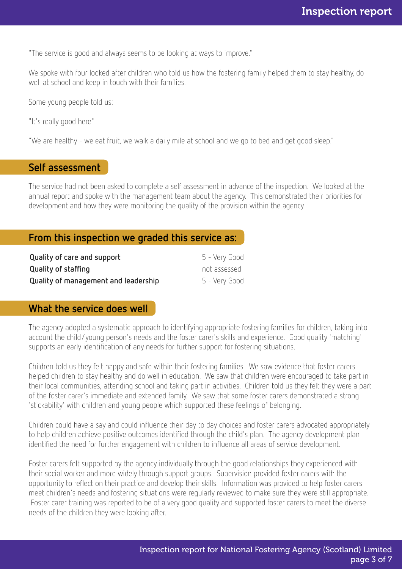"The service is good and always seems to be looking at ways to improve."

We spoke with four looked after children who told us how the fostering family helped them to stay healthy, do well at school and keep in touch with their families.

Some young people told us:

"It's really good here"

"We are healthy - we eat fruit, we walk a daily mile at school and we go to bed and get good sleep."

## Self assessment

The service had not been asked to complete a self assessment in advance of the inspection. We looked at the annual report and spoke with the management team about the agency. This demonstrated their priorities for development and how they were monitoring the quality of the provision within the agency.

## From this inspection we graded this service as:

| Quality of care and support          | 5 - Very Good |
|--------------------------------------|---------------|
| Quality of staffing                  | not assessed  |
| Quality of management and leadership | 5 - Very Good |

#### What the service does well

The agency adopted a systematic approach to identifying appropriate fostering families for children, taking into account the child/young person's needs and the foster carer's skills and experience. Good quality 'matching' supports an early identification of any needs for further support for fostering situations.

Children told us they felt happy and safe within their fostering families. We saw evidence that foster carers helped children to stay healthy and do well in education. We saw that children were encouraged to take part in their local communities, attending school and taking part in activities. Children told us they felt they were a part of the foster carer's immediate and extended family. We saw that some foster carers demonstrated a strong 'stickability' with children and young people which supported these feelings of belonging.

Children could have a say and could influence their day to day choices and foster carers advocated appropriately to help children achieve positive outcomes identified through the child's plan. The agency development plan identified the need for further engagement with children to influence all areas of service development.

Foster carers felt supported by the agency individually through the good relationships they experienced with their social worker and more widely through support groups. Supervision provided foster carers with the opportunity to reflect on their practice and develop their skills. Information was provided to help foster carers meet children's needs and fostering situations were regularly reviewed to make sure they were still appropriate. Foster carer training was reported to be of a very good quality and supported foster carers to meet the diverse needs of the children they were looking after.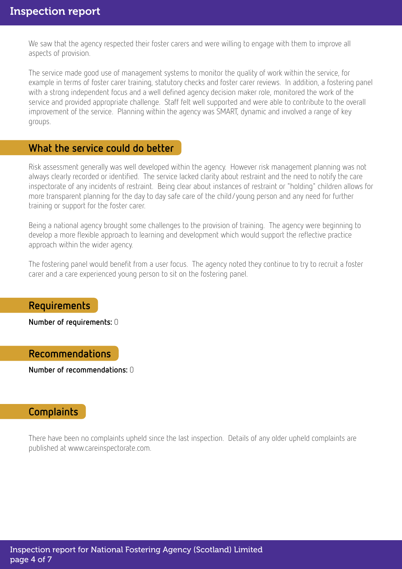We saw that the agency respected their foster carers and were willing to engage with them to improve all aspects of provision.

The service made good use of management systems to monitor the quality of work within the service, for example in terms of foster carer training, statutory checks and foster carer reviews. In addition, a fostering panel with a strong independent focus and a well defined agency decision maker role, monitored the work of the service and provided appropriate challenge. Staff felt well supported and were able to contribute to the overall improvement of the service. Planning within the agency was SMART, dynamic and involved a range of key groups.

## What the service could do better

Risk assessment generally was well developed within the agency. However risk management planning was not always clearly recorded or identified. The service lacked clarity about restraint and the need to notify the care inspectorate of any incidents of restraint. Being clear about instances of restraint or "holding" children allows for more transparent planning for the day to day safe care of the child/young person and any need for further training or support for the foster carer.

Being a national agency brought some challenges to the provision of training. The agency were beginning to develop a more flexible approach to learning and development which would support the reflective practice approach within the wider agency.

The fostering panel would benefit from a user focus. The agency noted they continue to try to recruit a foster carer and a care experienced young person to sit on the fostering panel.

#### Requirements

Number of requirements: 0

#### Recommendations

Number of recommendations: 0

## **Complaints**

There have been no complaints upheld since the last inspection. Details of any older upheld complaints are published at www.careinspectorate.com.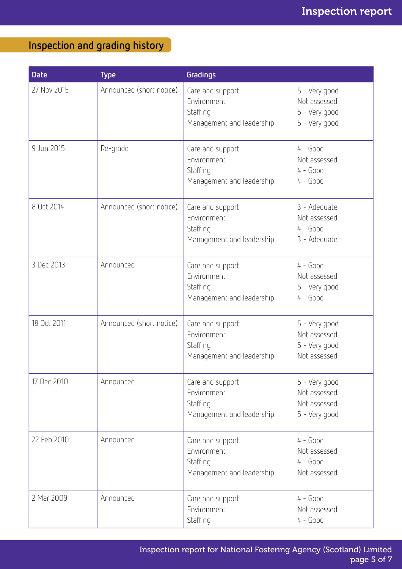## Inspection and grading history

| <b>Date</b> | <b>Type</b>              | Gradings                                                                 |                                                                 |
|-------------|--------------------------|--------------------------------------------------------------------------|-----------------------------------------------------------------|
| 27 Nov 2015 | Announced (short notice) | Care and support<br>Environment<br>Staffing<br>Management and leadership | 5 - Very good<br>Not assessed<br>5 - Very good<br>5 - Very good |
| 9 Jun 2015  | Re-grade                 | Care and support<br>Environment<br>Staffing<br>Management and leadership | $4 - Good$<br>Not assessed<br>$4 - Good$<br>$4 - Good$          |
| 8 Oct 2014  | Announced (short notice) | Care and support<br>Environment<br>Staffing<br>Management and leadership | 3 - Adequate<br>Not assessed<br>$4 - Good$<br>3 - Adequate      |
| 3 Dec 2013  | Announced                | Care and support<br>Environment<br>Staffing<br>Management and leadership | $4 - Good$<br>Not assessed<br>5 - Very good<br>$4 - Good$       |
| 18 Oct 2011 | Announced (short notice) | Care and support<br>Environment<br>Staffing<br>Management and leadership | 5 - Very good<br>Not assessed<br>5 - Very good<br>Not assessed  |
| 17 Dec 2010 | Announced                | Care and support<br>Environment<br>Staffing<br>Management and leadership | 5 - Very good<br>Not assessed<br>Not assessed<br>5 - Very good  |
| 22 Feb 2010 | Announced                | Care and support<br>Environment<br>Staffing<br>Management and leadership | $4 - Good$<br>Not assessed<br>$4 - Good$<br>Not assessed        |
| 2 Mar 2009  | Announced                | Care and support<br>Environment<br>Staffing                              | $4 - Good$<br>Not assessed<br>$4 - Good$                        |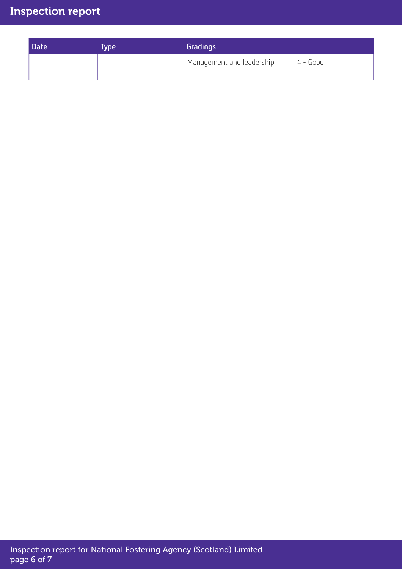## Inspection report

| <b>Date</b> | <b>Type</b> | Gradings                  |            |  |
|-------------|-------------|---------------------------|------------|--|
|             |             | Management and leadership | $4 - Good$ |  |